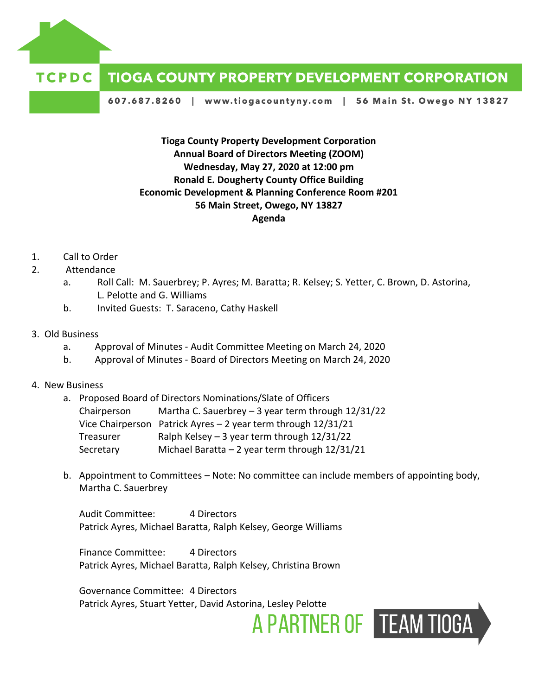

## TCPDC **TIOGA COUNTY PROPERTY DEVELOPMENT CORPORATION**

607.687.8260 | www.tiogacountyny.com | 56 Main St. Owego NY 13827

**Tioga County Property Development Corporation Annual Board of Directors Meeting (ZOOM) Wednesday, May 27, 2020 at 12:00 pm Ronald E. Dougherty County Office Building Economic Development & Planning Conference Room #201 56 Main Street, Owego, NY 13827 Agenda**

- 1. Call to Order
- 2. Attendance
	- a. Roll Call: M. Sauerbrey; P. Ayres; M. Baratta; R. Kelsey; S. Yetter, C. Brown, D. Astorina, L. Pelotte and G. Williams
	- b. Invited Guests: T. Saraceno, Cathy Haskell
- 3. Old Business
	- a. Approval of Minutes Audit Committee Meeting on March 24, 2020
	- b. Approval of Minutes Board of Directors Meeting on March 24, 2020
- 4. New Business
	- a. Proposed Board of Directors Nominations/Slate of Officers Chairperson Martha C. Sauerbrey  $-3$  year term through  $12/31/22$ Vice Chairperson Patrick Ayres – 2 year term through 12/31/21 Treasurer Ralph Kelsey  $-3$  year term through  $12/31/22$ Secretary Michael Baratta – 2 year term through 12/31/21
	- b. Appointment to Committees Note: No committee can include members of appointing body, Martha C. Sauerbrey

A PARTNER OF TEAM TIOGA

Audit Committee: 4 Directors Patrick Ayres, Michael Baratta, Ralph Kelsey, George Williams

Finance Committee: 4 Directors Patrick Ayres, Michael Baratta, Ralph Kelsey, Christina Brown

Governance Committee: 4 Directors Patrick Ayres, Stuart Yetter, David Astorina, Lesley Pelotte